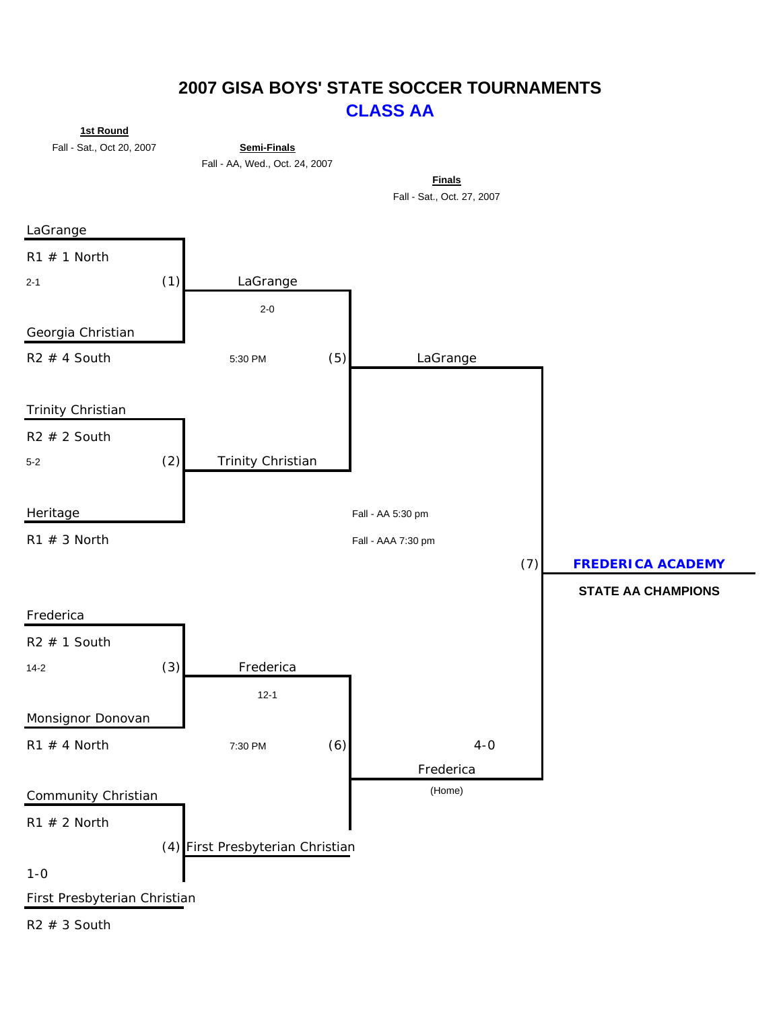### **2007 GISA BOYS' STATE SOCCER TOURNAMENTS CLASS AA**

**1st Round**

Fall - Sat., Oct 20, 2007 **Semi-Finals**



Fall - Sat., Oct. 27, 2007 **Finals**



 $R2 \# 3$  South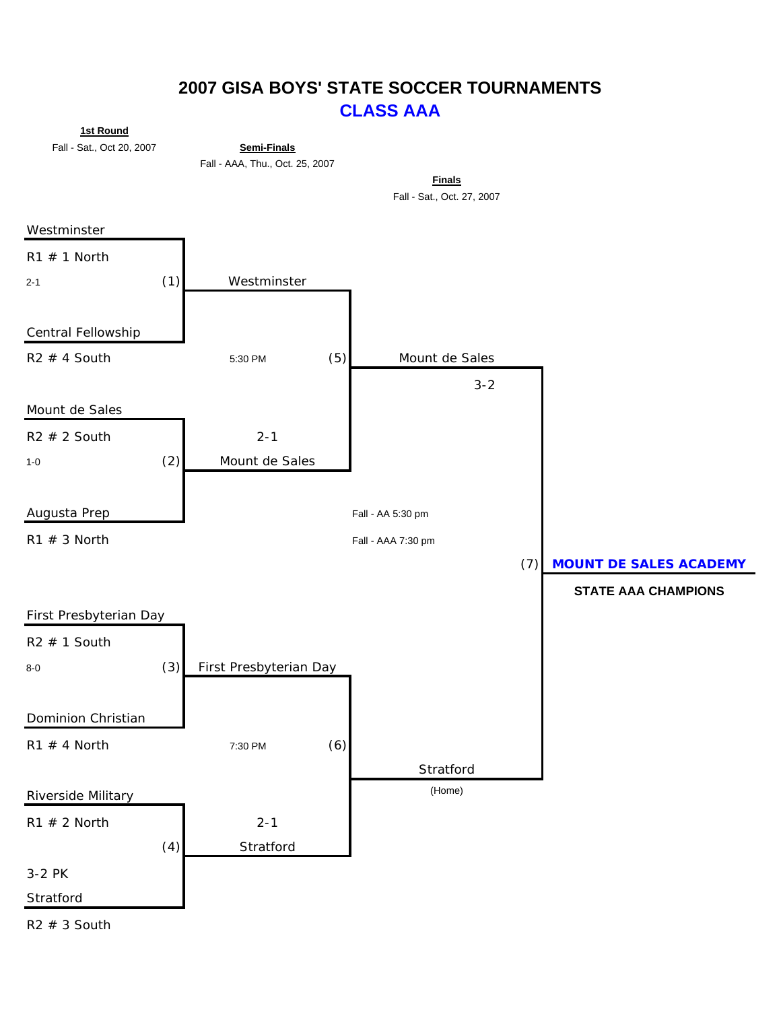### **2007 GISA BOYS' STATE SOCCER TOURNAMENTS CLASS AAA**

**1st Round**

Fall - Sat., Oct 20, 2007 **Semi-Finals**

Fall - AAA, Thu., Oct. 25, 2007

**Finals** Fall - Sat., Oct. 27, 2007

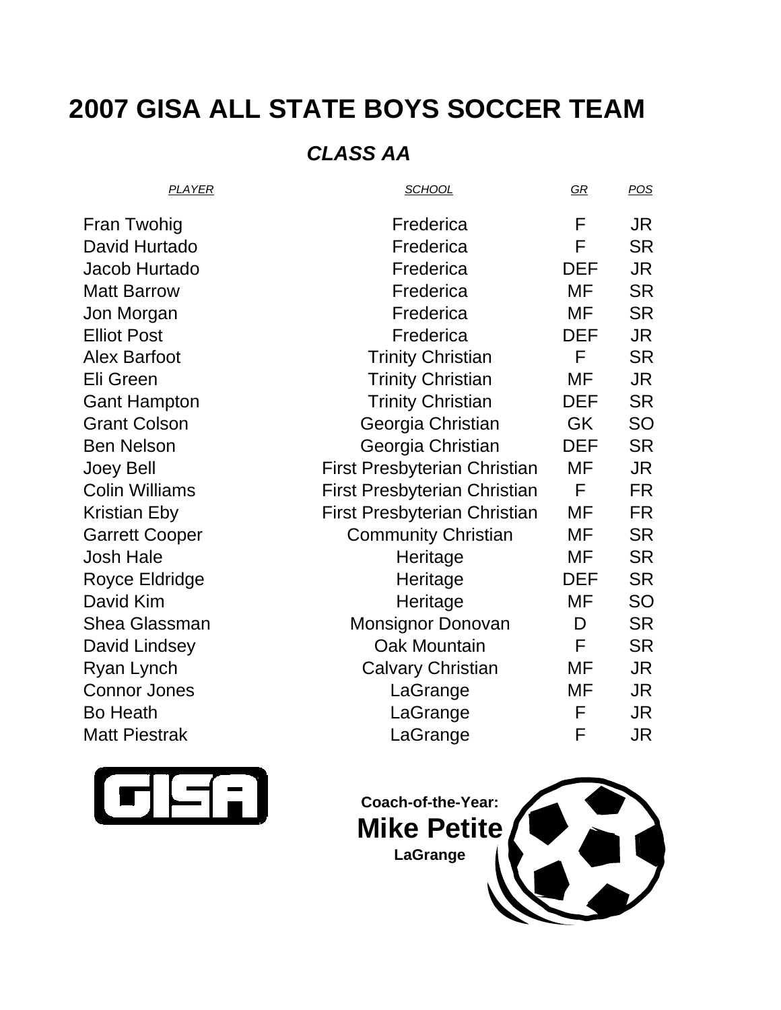# **2007 GISA ALL STATE BOYS SOCCER TEAM**

## *CLASS AA*

| <b>PLAYER</b>         | <b>SCHOOL</b>                       | $\underline{GR}$ | POS       |
|-----------------------|-------------------------------------|------------------|-----------|
| <b>Fran Twohig</b>    | Frederica                           | F                | JR        |
| David Hurtado         | Frederica                           | F                | <b>SR</b> |
| Jacob Hurtado         | Frederica                           | <b>DEF</b>       | JR        |
| <b>Matt Barrow</b>    | Frederica                           | <b>MF</b>        | <b>SR</b> |
| Jon Morgan            | Frederica                           | MF               | <b>SR</b> |
| <b>Elliot Post</b>    | Frederica                           | <b>DEF</b>       | JR.       |
| <b>Alex Barfoot</b>   | <b>Trinity Christian</b>            | F                | <b>SR</b> |
| Eli Green             | <b>Trinity Christian</b>            | MF               | <b>JR</b> |
| <b>Gant Hampton</b>   | <b>Trinity Christian</b>            | DEF              | <b>SR</b> |
| <b>Grant Colson</b>   | Georgia Christian                   | <b>GK</b>        | SO        |
| <b>Ben Nelson</b>     | Georgia Christian                   | <b>DEF</b>       | <b>SR</b> |
| <b>Joey Bell</b>      | First Presbyterian Christian        | MF               | JR        |
| <b>Colin Williams</b> | <b>First Presbyterian Christian</b> | F                | <b>FR</b> |
| Kristian Eby          | <b>First Presbyterian Christian</b> | MF               | FR        |
| <b>Garrett Cooper</b> | <b>Community Christian</b>          | MF               | <b>SR</b> |
| <b>Josh Hale</b>      | Heritage                            | MF               | <b>SR</b> |
| Royce Eldridge        | Heritage                            | <b>DEF</b>       | <b>SR</b> |
| David Kim             | Heritage                            | MF               | SO        |
| <b>Shea Glassman</b>  | <b>Monsignor Donovan</b>            | D                | <b>SR</b> |
| David Lindsey         | <b>Oak Mountain</b>                 | F                | <b>SR</b> |
| Ryan Lynch            | <b>Calvary Christian</b>            | MF               | JR.       |
| <b>Connor Jones</b>   | LaGrange                            | MF               | JR        |
| <b>Bo Heath</b>       | LaGrange                            | F                | JR        |
| <b>Matt Piestrak</b>  | LaGrange                            | F                | JR        |



**Coach-of-the-Year: Mike Petite LaGrange**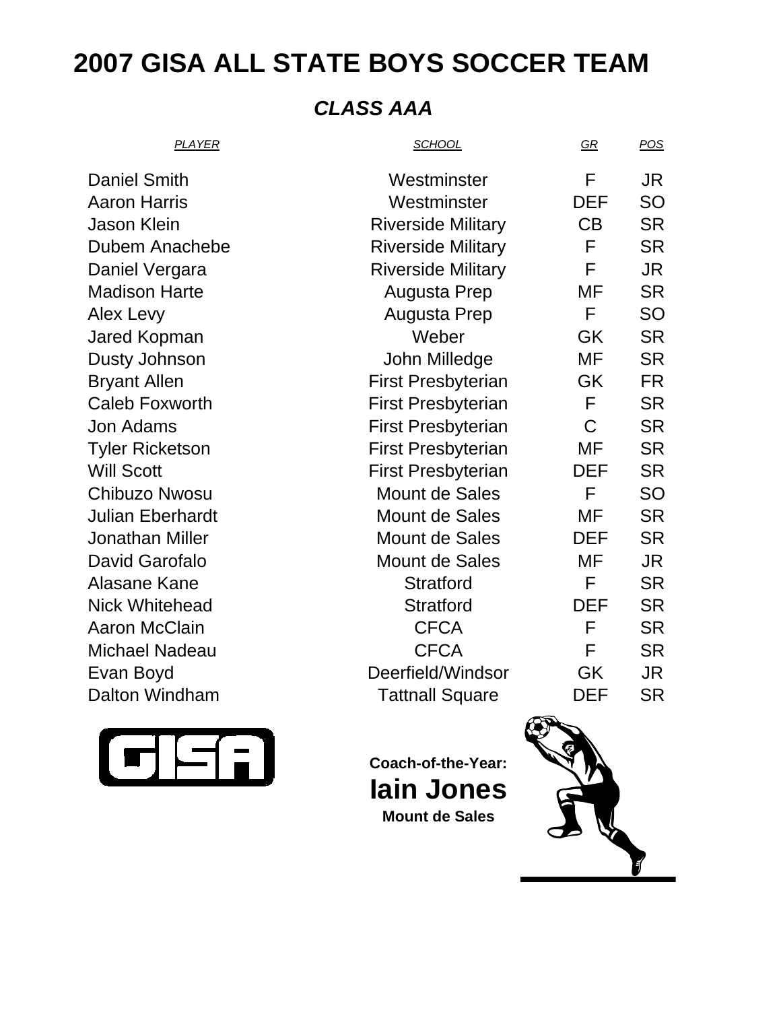# **2007 GISA ALL STATE BOYS SOCCER TEAM**

## *CLASS AAA*

| <b>PLAYER</b>           | <b>SCHOOL</b>             | $\underline{GR}$ | <u>POS</u> |
|-------------------------|---------------------------|------------------|------------|
| <b>Daniel Smith</b>     | Westminster               | F                | JR         |
| <b>Aaron Harris</b>     | Westminster               | <b>DEF</b>       | <b>SO</b>  |
| <b>Jason Klein</b>      | <b>Riverside Military</b> | CB               | <b>SR</b>  |
| Dubem Anachebe          | <b>Riverside Military</b> | F                | <b>SR</b>  |
| Daniel Vergara          | <b>Riverside Military</b> | F                | JR         |
| <b>Madison Harte</b>    | Augusta Prep              | MF               | <b>SR</b>  |
| Alex Levy               | Augusta Prep              | F                | <b>SO</b>  |
| Jared Kopman            | Weber                     | GK               | <b>SR</b>  |
| Dusty Johnson           | John Milledge             | MF               | <b>SR</b>  |
| <b>Bryant Allen</b>     | <b>First Presbyterian</b> | GK               | <b>FR</b>  |
| <b>Caleb Foxworth</b>   | <b>First Presbyterian</b> | F                | <b>SR</b>  |
| <b>Jon Adams</b>        | <b>First Presbyterian</b> | $\mathsf C$      | <b>SR</b>  |
| <b>Tyler Ricketson</b>  | <b>First Presbyterian</b> | MF               | <b>SR</b>  |
| <b>Will Scott</b>       | <b>First Presbyterian</b> | <b>DEF</b>       | <b>SR</b>  |
| <b>Chibuzo Nwosu</b>    | Mount de Sales            | F                | <b>SO</b>  |
| <b>Julian Eberhardt</b> | <b>Mount de Sales</b>     | MF               | <b>SR</b>  |
| <b>Jonathan Miller</b>  | Mount de Sales            | <b>DEF</b>       | <b>SR</b>  |
| <b>David Garofalo</b>   | Mount de Sales            | MF               | <b>JR</b>  |
| Alasane Kane            | <b>Stratford</b>          | F                | <b>SR</b>  |
| <b>Nick Whitehead</b>   | <b>Stratford</b>          | <b>DEF</b>       | <b>SR</b>  |
| <b>Aaron McClain</b>    | <b>CFCA</b>               | F                | <b>SR</b>  |
| <b>Michael Nadeau</b>   | <b>CFCA</b>               | F                | <b>SR</b>  |
| Evan Boyd               | Deerfield/Windsor         | GK               | <b>JR</b>  |
| Dalton Windham          | <b>Tattnall Square</b>    | <b>DEF</b>       | <b>SR</b>  |
|                         | $\sqrt{2}$                |                  |            |



**Coach-of-the-Year: Iain Jones Mount de Sales**